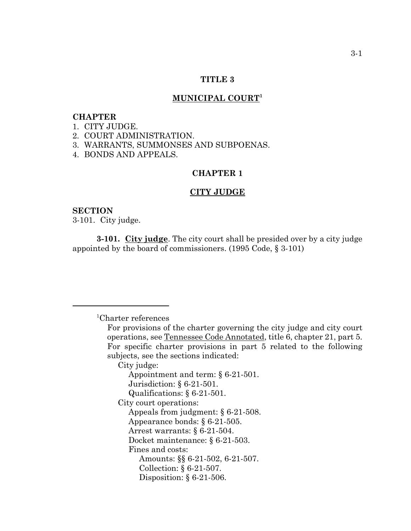#### **TITLE 3**

### **MUNICIPAL COURT1**

#### **CHAPTER**

1. CITY JUDGE.

2. COURT ADMINISTRATION.

3. WARRANTS, SUMMONSES AND SUBPOENAS.

4. BONDS AND APPEALS.

### **CHAPTER 1**

#### **CITY JUDGE**

#### **SECTION**

3-101. City judge.

**3-101. City judge**. The city court shall be presided over by a city judge appointed by the board of commissioners. (1995 Code, § 3-101)

1 Charter references

For provisions of the charter governing the city judge and city court operations, see Tennessee Code Annotated, title 6, chapter 21, part 5. For specific charter provisions in part 5 related to the following subjects, see the sections indicated: City judge: Appointment and term: § 6-21-501. Jurisdiction: § 6-21-501. Qualifications: § 6-21-501. City court operations: Appeals from judgment: § 6-21-508. Appearance bonds: § 6-21-505. Arrest warrants: § 6-21-504. Docket maintenance: § 6-21-503. Fines and costs: Amounts: §§ 6-21-502, 6-21-507. Collection: § 6-21-507. Disposition: § 6-21-506.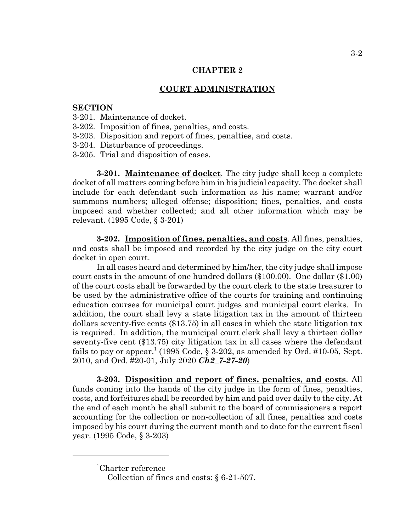### **CHAPTER 2**

#### **COURT ADMINISTRATION**

### **SECTION**

- 3-201. Maintenance of docket.
- 3-202. Imposition of fines, penalties, and costs.
- 3-203. Disposition and report of fines, penalties, and costs.
- 3-204. Disturbance of proceedings.
- 3-205. Trial and disposition of cases.

**3-201. Maintenance of docket**. The city judge shall keep a complete docket of all matters coming before him in his judicial capacity. The docket shall include for each defendant such information as his name; warrant and/or summons numbers; alleged offense; disposition; fines, penalties, and costs imposed and whether collected; and all other information which may be relevant. (1995 Code, § 3-201)

**3-202. Imposition of fines, penalties, and costs**. All fines, penalties, and costs shall be imposed and recorded by the city judge on the city court docket in open court.

In all cases heard and determined by him/her, the city judge shall impose court costs in the amount of one hundred dollars (\$100.00). One dollar (\$1.00) of the court costs shall be forwarded by the court clerk to the state treasurer to be used by the administrative office of the courts for training and continuing education courses for municipal court judges and municipal court clerks. In addition, the court shall levy a state litigation tax in the amount of thirteen dollars seventy-five cents (\$13.75) in all cases in which the state litigation tax is required. In addition, the municipal court clerk shall levy a thirteen dollar seventy-five cent (\$13.75) city litigation tax in all cases where the defendant fails to pay or appear.<sup>1</sup> (1995 Code, § 3-202, as amended by Ord. #10-05, Sept. 2010, and Ord. #20-01, July 2020 *Ch2\_7-27-20*)

**3-203. Disposition and report of fines, penalties, and costs**. All funds coming into the hands of the city judge in the form of fines, penalties, costs, and forfeitures shall be recorded by him and paid over daily to the city. At the end of each month he shall submit to the board of commissioners a report accounting for the collection or non-collection of all fines, penalties and costs imposed by his court during the current month and to date for the current fiscal year. (1995 Code, § 3-203)

<sup>1</sup> Charter reference

Collection of fines and costs: § 6-21-507.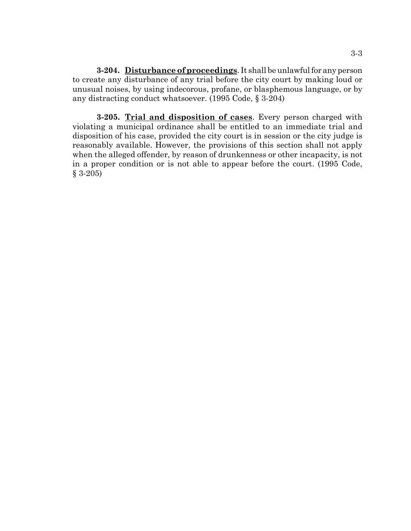**3-204. Disturbance of proceedings**. It shall be unlawful for any person to create any disturbance of any trial before the city court by making loud or unusual noises, by using indecorous, profane, or blasphemous language, or by any distracting conduct whatsoever. (1995 Code, § 3-204)

**3-205. Trial and disposition of cases**. Every person charged with violating a municipal ordinance shall be entitled to an immediate trial and disposition of his case, provided the city court is in session or the city judge is reasonably available. However, the provisions of this section shall not apply when the alleged offender, by reason of drunkenness or other incapacity, is not in a proper condition or is not able to appear before the court. (1995 Code, § 3-205)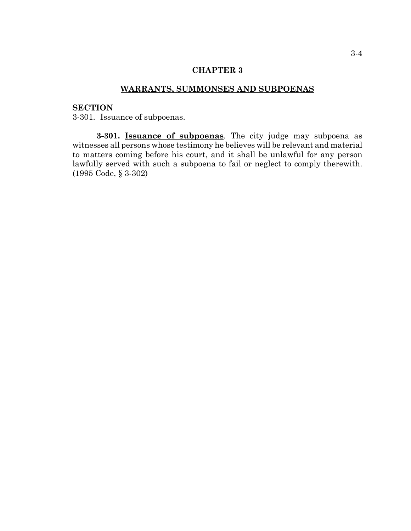# **CHAPTER 3**

# **WARRANTS, SUMMONSES AND SUBPOENAS**

### **SECTION**

3-301. Issuance of subpoenas.

**3-301. Issuance of subpoenas**. The city judge may subpoena as witnesses all persons whose testimony he believes will be relevant and material to matters coming before his court, and it shall be unlawful for any person lawfully served with such a subpoena to fail or neglect to comply therewith. (1995 Code, § 3-302)